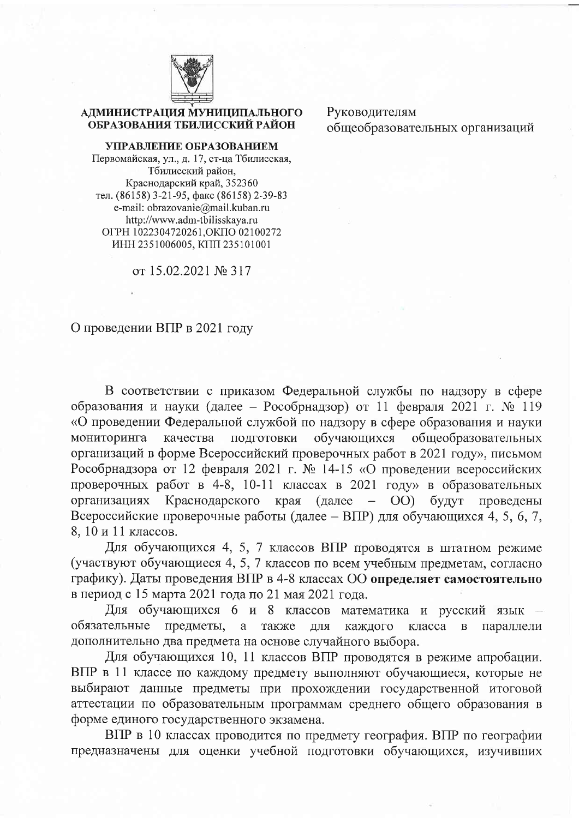

## АДМИНИСТРАЦИЯ МУНИЦИПАЛЬНОГО ОБРАЗОВАНИЯ ТБИЛИССКИЙ РАЙОН

УПРАВЛЕНИЕ ОБРАЗОВАНИЕМ Первомайская, ул., д. 17, ст-ца Тбилисская, Тбилисский район, Краснодарский край, 352360 тел. (86158) 3-21-95, факс (86158) 2-39-83 e-mail: obrazovanie@mail.kuban.ru http://www.adm-tbilisskaya.ru ОГРН 1022304720261, ОКПО 02100272 ИНН 2351006005, КПП 235101001

от 15.02.2021 № 317

Руководителям общеобразовательных организаций

## О проведении ВПР в 2021 году

В соответствии с приказом Федеральной службы по надзору в сфере образования и науки (далее - Рособрнадзор) от 11 февраля 2021 г. № 119 «О проведении Федеральной службой по надзору в сфере образования и науки подготовки мониторинга качества обучающихся общеобразовательных организаций в форме Всероссийский проверочных работ в 2021 году», письмом Рособрнадзора от 12 февраля 2021 г. № 14-15 «О проведении всероссийских проверочных работ в 4-8, 10-11 классах в 2021 году» в образовательных организациях Краснодарского края (далее  $-$  OO) будут проведены Всероссийские проверочные работы (далее - ВПР) для обучающихся 4, 5, 6, 7, 8, 10 и 11 классов.

Для обучающихся 4, 5, 7 классов ВПР проводятся в штатном режиме (участвуют обучающиеся 4, 5, 7 классов по всем учебным предметам, согласно графику). Даты проведения ВПР в 4-8 классах ОО определяет самостоятельно в период с 15 марта 2021 года по 21 мая 2021 года.

Для обучающихся 6 и 8 классов математика и русский язык обязательные предметы, а также ДЛЯ каждого класса  $\bf{B}$ параллели дополнительно два предмета на основе случайного выбора.

Для обучающихся 10, 11 классов ВПР проводятся в режиме апробации. ВПР в 11 классе по каждому предмету выполняют обучающиеся, которые не выбирают данные предметы при прохождении государственной итоговой аттестации по образовательным программам среднего общего образования в форме единого государственного экзамена.

ВПР в 10 классах проводится по предмету география. ВПР по географии предназначены для оценки учебной подготовки обучающихся, изучивших